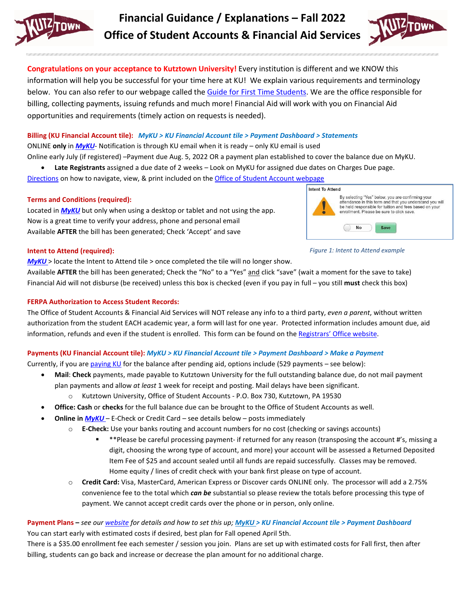

**Financial Guidance / Explanations – Fall 2022 Office of Student Accounts & Financial Aid Services**



**Congratulations on your acceptance to Kutztown University!** Every institution is different and we KNOW this information will help you be successful for your time here at KU! We explain various requirements and terminology below. You can also refer to our webpage called the [Guide for First Time Students.](https://www.kutztown.edu/affordability/guide-for-first-time-students.html) We are the office responsible for billing, collecting payments, issuing refunds and much more! Financial Aid will work with you on Financial Aid opportunities and requirements (timely action on requests is needed).

## **Billing (KU Financial Account tile):** *MyKU > KU Financial Account tile > Payment Dashboard > Statements*

ONLINE **only** in *[MyKU](https://myku.kutztown.edu/)*- Notification is through KU email when it is ready – only KU email is used

Online early July (if registered) –Payment due Aug. 5, 2022 OR a payment plan established to cover the balance due on MyKU.

• **Late Registrants** assigned a due date of 2 weeks – Look on MyKU for assigned due dates on Charges Due page.

[Directions](https://www.kutztown.edu/affordability/bills-and-paying-your-tuition/viewing-your-bills.html) on how to navigate, view, & print included on the Office of [Student Account webpage](https://www.kutztown.edu/about-ku/administrative-offices/student-accounts.html)

## **Terms and Conditions (required):**

Located in *[MyKU](https://csku.kutztown.edu/psp/csprd/?cmd=login)* but only when using a desktop or tablet and not using the app. Now is a great time to verify your address, phone and personal email Available **AFTER** the bill has been generated; Check 'Accept' and save



*Figure 1: Intent to Attend example*

#### **Intent to Attend (required):**

*[MyKU](https://myku.kutztown.edu/)* > locate the Intent to Attend tile > once completed the tile will no longer show.

Available **AFTER** the bill has been generated; Check the "No" to a "Yes" and click "save" (wait a moment for the save to take) Financial Aid will not disburse (be received) unless this box is checked (even if you pay in full – you still **must** check this box)

### **FERPA Authorization to Access Student Records:**

The Office of Student Accounts & Financial Aid Services will NOT release any info to a third party, *even a parent*, without written authorization from the student EACH academic year, a form will last for one year. Protected information includes amount due, aid information, refunds and even if the student is enrolled. This form can be found on the [Registrars' Office website.](https://www.kutztown.edu/about-ku/administrative-offices/registrar/ferpa.html)

## **Payments (KU Financial Account tile):** *MyKU > KU Financial Account tile > Payment Dashboard > Make a Payment*

Currently, if you are [paying KU](https://www.kutztown.edu/affordability/bills-and-paying-your-tuition.html) for the balance after pending aid, options include (529 payments – see below):

- **Mail**: **Check** payments, made payable to Kutztown University for the full outstanding balance due, do not mail payment plan payments and allow *at least* 1 week for receipt and posting. Mail delays have been significant.
	- o Kutztown University, Office of Student Accounts P.O. Box 730, Kutztown, PA 19530
- **Office: Cash** or **checks** for the full balance due can be brought to the Office of Student Accounts as well.
- **Online in** *[MyKU](https://myku.kutztown.edu/)* E-Check or Credit Card see details below posts immediately
	- o **E-Check:** Use your banks routing and account numbers for no cost (checking or savings accounts)
		- \*\*Please be careful processing payment- if returned for any reason (transposing the account #'s, missing a digit, choosing the wrong type of account, and more) your account will be assessed a Returned Deposited Item Fee of \$25 and account sealed until all funds are repaid successfully. Classes may be removed. Home equity / lines of credit check with your bank first please on type of account.
	- o **Credit Card:** Visa, MasterCard, American Express or Discover cards ONLINE only. The processor will add a 2.75% convenience fee to the total which *can be* substantial so please review the totals before processing this type of payment. We cannot accept credit cards over the phone or in person, only online.

## **Payment Plans –** *see ou[r website](https://www.kutztown.edu/affordability/bills-and-paying-your-tuition/payment-plans.html) for details and how to set this up; [MyKU >](https://myku.kutztown.edu/) KU Financial Account tile > Payment Dashboard* You can start early with estimated costs if desired, best plan for Fall opened April 5th.

There is a \$35.00 enrollment fee each semester / session you join. Plans are set up with estimated costs for Fall first, then after billing, students can go back and increase or decrease the plan amount for no additional charge.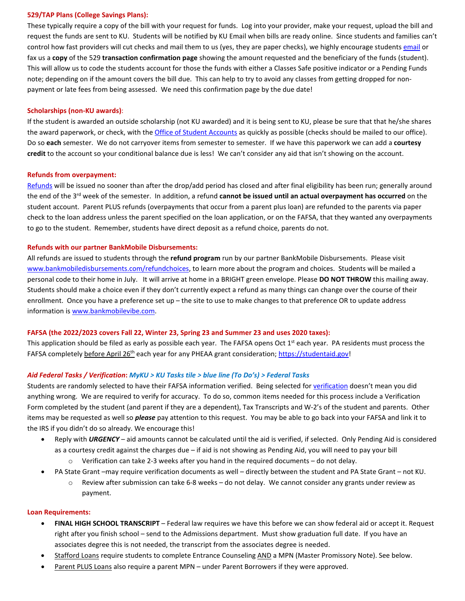#### **529/TAP Plans (College Savings Plans):**

These typically require a copy of the bill with your request for funds. Log into your provider, make your request, upload the bill and request the funds are sent to KU. Students will be notified by KU Email when bills are ready online. Since students and families can't control how fast providers will cut checks and mail them to us (yes, they are paper checks), we highly encourage student[s email](mailto:studentaccounts@kutztown.edu?subject=529%20proof%20for%20Fall%202022) or fax us a **copy** of the 529 **transaction confirmation page** showing the amount requested and the beneficiary of the funds (student). This will allow us to code the students account for those the funds with either a Classes Safe positive indicator or a Pending Funds note; depending on if the amount covers the bill due. This can help to try to avoid any classes from getting dropped for nonpayment or late fees from being assessed. We need this confirmation page by the due date!

#### **Scholarships (non-KU awards)**:

If the student is awarded an outside scholarship (not KU awarded) and it is being sent to KU, please be sure that that he/she shares the award paperwork, or check, with th[e Office of Student Accounts](mailto:studentaccounts@kutztown.edu?subject=Scholarships%20from%20Freshman%20Guide%20page%20handout%20Fall%202022) as quickly as possible (checks should be mailed to our office). Do so **each** semester. We do not carryover items from semester to semester. If we have this paperwork we can add a **courtesy credit** to the account so your conditional balance due is less! We can't consider any aid that isn't showing on the account.

#### **Refunds from overpayment:**

[Refunds](https://www.kutztown.edu/about-ku/administrative-offices/student-accounts/refunds.html) will be issued no sooner than after the drop/add period has closed and after final eligibility has been run; generally around the end of the 3rd week of the semester. In addition, a refund **cannot be issued until an actual overpayment has occurred** on the student account. Parent PLUS refunds (overpayments that occur from a parent plus loan) are refunded to the parents via paper check to the loan address unless the parent specified on the loan application, or on the FAFSA, that they wanted any overpayments to go to the student. Remember, students have direct deposit as a refund choice, parents do not.

#### **Refunds with our partner BankMobile Disbursements:**

All refunds are issued to students through the **refund program** run by our partner BankMobile Disbursements. Please visit [www.bankmobiledisbursements.com/refundchoices,](http://www.bankmobiledisbursements.com/refundchoices) to learn more about the program and choices. Students will be mailed a personal code to their home in July. It will arrive at home in a BRIGHT green envelope. Please **DO NOT THROW** this mailing away. Students should make a choice even if they don't currently expect a refund as many things can change over the course of their enrollment. Once you have a preference set up – the site to use to make changes to that preference OR to update address information is [www.bankmobilevibe.com.](http://www.bankmobilevibe.com/)

#### **FAFSA (the 2022/2023 covers Fall 22, Winter 23, Spring 23 and Summer 23 and uses 2020 taxes):**

This application should be filed as early as possible each year. The FAFSA opens Oct  $1<sup>st</sup>$  each year. PA residents must process the FAFSA completely before April 26th each year for any PHEAA grant consideration[; https://studentaid.gov!](https://studentaid.gov/)

#### *Aid Federal Tasks / Verification***:** *MyKU > KU Tasks tile > blue line (To Do's) > Federal Tasks*

Students are randomly selected to have their FAFSA information verified. Being selected fo[r verification](https://www.kutztown.edu/about-ku/administrative-offices/financial-aid/verification.html) doesn't mean you did anything wrong. We are required to verify for accuracy. To do so, common items needed for this process include a Verification Form completed by the student (and parent if they are a dependent), Tax Transcripts and W-2's of the student and parents. Other items may be requested as well so *please* pay attention to this request. You may be able to go back into your FAFSA and link it to the IRS if you didn't do so already. We encourage this!

- Reply with *URGENCY* aid amounts cannot be calculated until the aid is verified, if selected. Only Pending Aid is considered as a courtesy credit against the charges due – if aid is not showing as Pending Aid, you will need to pay your bill
	- $\circ$  Verification can take 2-3 weeks after you hand in the required documents do not delay.
- PA State Grant –may require verification documents as well directly between the student and PA State Grant not KU.
	- $\circ$  Review after submission can take 6-8 weeks do not delay. We cannot consider any grants under review as payment.

#### **Loan Requirements:**

- **FINAL HIGH SCHOOL TRANSCRIPT** Federal law requires we have this before we can show federal aid or accept it. Request right after you finish school – send to the Admissions department. Must show graduation full date. If you have an associates degree this is not needed, the transcript from the associates degree is needed.
- Stafford Loans require students to complete Entrance Counseling AND a MPN (Master Promissory Note). See below.
- Parent PLUS Loans also require a parent MPN under Parent Borrowers if they were approved.